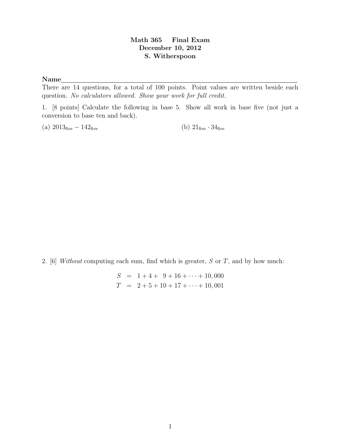## Math 365 Final Exam December 10, 2012 S. Witherspoon

## Name

There are 14 questions, for a total of 100 points. Point values are written beside each question. No calculators allowed. Show your work for full credit.

1. [8 points] Calculate the following in base 5. Show all work in base five (not just a conversion to base ten and back).

(a)  $2013_{\text{five}} - 142_{\text{five}}$  (b)  $21_{\text{five}} \cdot 34_{\text{five}}$ 

2. [6] Without computing each sum, find which is greater,  $S$  or  $T$ , and by how much:

$$
S = 1 + 4 + 9 + 16 + \dots + 10,000
$$
  

$$
T = 2 + 5 + 10 + 17 + \dots + 10,001
$$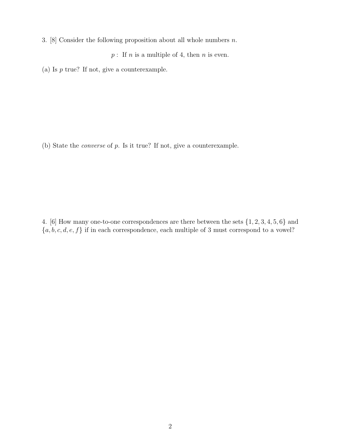3. [8] Consider the following proposition about all whole numbers  $n$ .

 $p:$  If n is a multiple of 4, then n is even.

(a) Is  $p$  true? If not, give a counterexample.

(b) State the converse of p. Is it true? If not, give a counterexample.

4. [6] How many one-to-one correspondences are there between the sets {1, 2, 3, 4, 5, 6} and  $\{a, b, c, d, e, f\}$  if in each correspondence, each multiple of 3 must correspond to a vowel?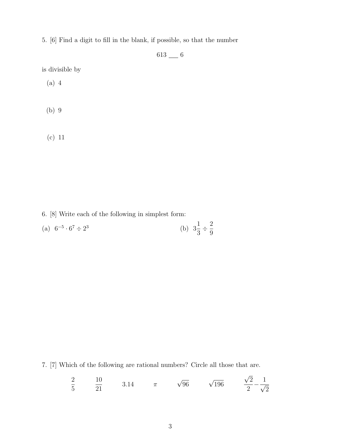5. [6] Find a digit to fill in the blank, if possible, so that the number

 $613$  —  $6$ 

is divisible by

- (a) 4
- (b) 9
- (c) 11

6. [8] Write each of the following in simplest form:

| (a) $6^{-5} \cdot 6^7 \div 2^3$ | (b) $3\frac{1}{3} \div \frac{2}{9}$ |  |
|---------------------------------|-------------------------------------|--|
|---------------------------------|-------------------------------------|--|

7. [7] Which of the following are rational numbers? Circle all those that are.

$$
\frac{2}{5}
$$
  $\frac{10}{21}$  3.14  $\pi$   $\sqrt{96}$   $\sqrt{196}$   $\frac{\sqrt{2}}{2} - \frac{1}{\sqrt{2}}$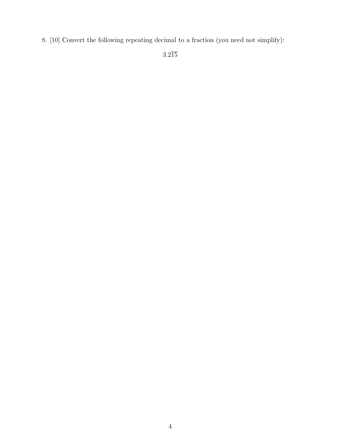8. [10] Convert the following repeating decimal to a fraction (you need not simplify):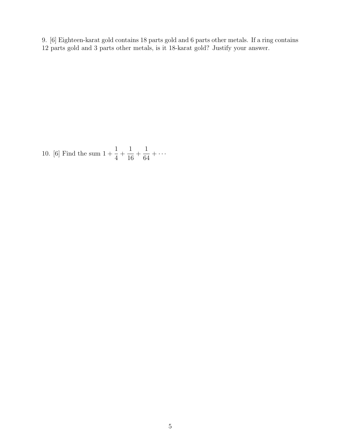- 9. [6] Eighteen-karat gold contains 18 parts gold and 6 parts other metals. If a ring contains
- 12 parts gold and 3 parts other metals, is it 18-karat gold? Justify your answer.

10. [6] Find the sum  $1 + \frac{1}{4}$ 4  $+$ 1 16  $+$ 1 64  $+ \cdots$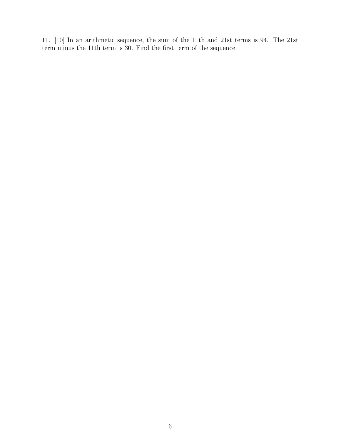11. [10] In an arithmetic sequence, the sum of the 11th and 21st terms is 94. The 21st term minus the 11th term is 30. Find the first term of the sequence.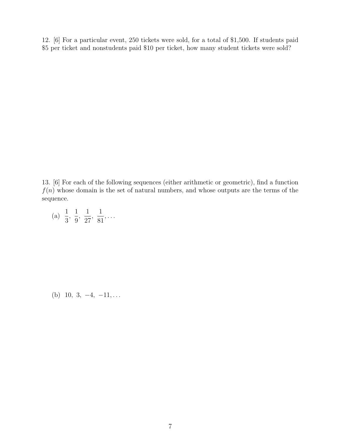12. [6] For a particular event, 250 tickets were sold, for a total of \$1,500. If students paid \$5 per ticket and nonstudents paid \$10 per ticket, how many student tickets were sold?

13. [6] For each of the following sequences (either arithmetic or geometric), find a function  $f(n)$  whose domain is the set of natural numbers, and whose outputs are the terms of the sequence.

(a) 
$$
\frac{1}{3}
$$
,  $\frac{1}{9}$ ,  $\frac{1}{27}$ ,  $\frac{1}{81}$ , ...

(b) 10, 3,  $-4$ ,  $-11$ , ...